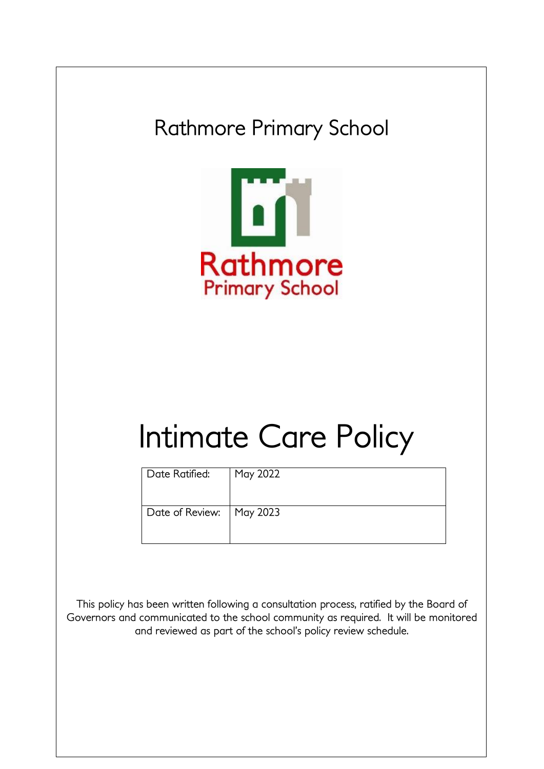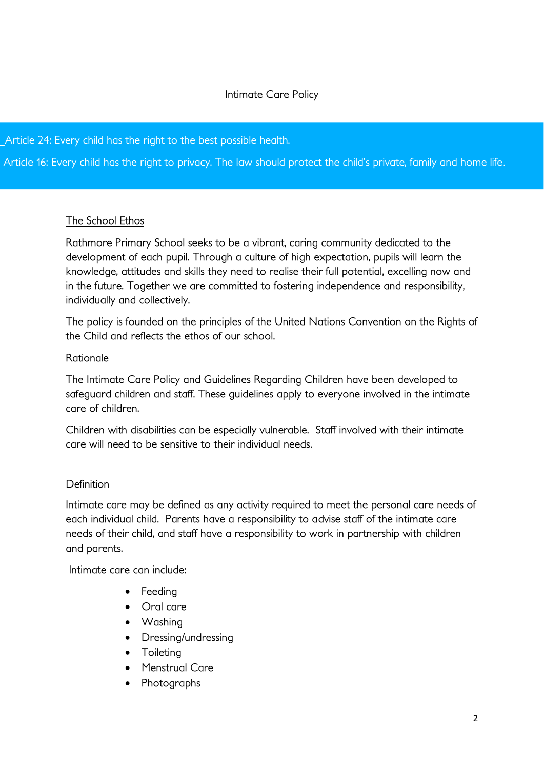# Intimate Care Policy

Article 24: Every child has the right to the best possible health.

Article 16: Every child has the right to privacy. The law should protect the child's private, family and home life.

#### The School Ethos

Rathmore Primary School seeks to be a vibrant, caring community dedicated to the development of each pupil. Through a culture of high expectation, pupils will learn the knowledge, attitudes and skills they need to realise their full potential, excelling now and in the future. Together we are committed to fostering independence and responsibility, individually and collectively.

The policy is founded on the principles of the United Nations Convention on the Rights of the Child and reflects the ethos of our school.

#### **Rationale**

The Intimate Care Policy and Guidelines Regarding Children have been developed to safeguard children and staff. These guidelines apply to everyone involved in the intimate care of children.

Children with disabilities can be especially vulnerable. Staff involved with their intimate care will need to be sensitive to their individual needs.

## **Definition**

Intimate care may be defined as any activity required to meet the personal care needs of each individual child. Parents have a responsibility to advise staff of the intimate care needs of their child, and staff have a responsibility to work in partnership with children and parents.

Intimate care can include:

- Feeding
- Oral care
- Washing
- Dressing/undressing
- Toileting
- Menstrual Care
- Photographs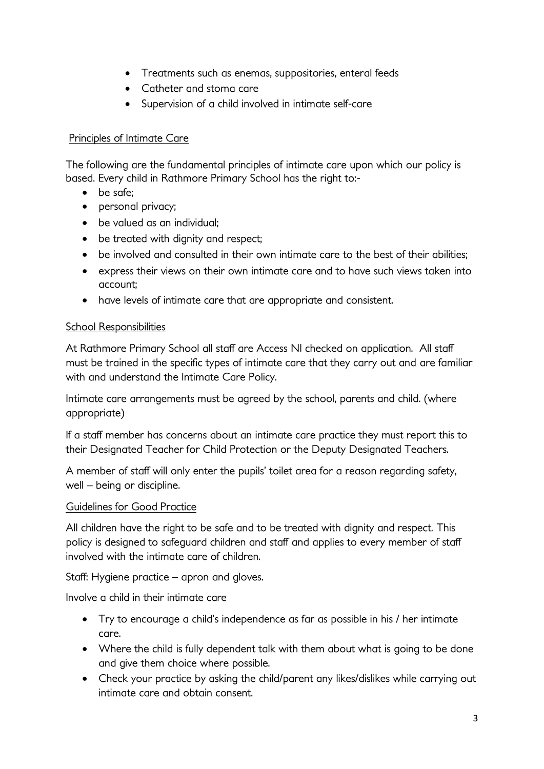- Treatments such as enemas, suppositories, enteral feeds
- Catheter and stoma care
- Supervision of a child involved in intimate self-care

# Principles of Intimate Care

The following are the fundamental principles of intimate care upon which our policy is based. Every child in Rathmore Primary School has the right to:-

- be safe;
- personal privacy;
- be valued as an individual:
- be treated with dignity and respect;
- be involved and consulted in their own intimate care to the best of their abilities;
- express their views on their own intimate care and to have such views taken into account;
- have levels of intimate care that are appropriate and consistent.

# School Responsibilities

At Rathmore Primary School all staff are Access NI checked on application. All staff must be trained in the specific types of intimate care that they carry out and are familiar with and understand the Intimate Care Policy.

Intimate care arrangements must be agreed by the school, parents and child. (where appropriate)

If a staff member has concerns about an intimate care practice they must report this to their Designated Teacher for Child Protection or the Deputy Designated Teachers.

A member of staff will only enter the pupils' toilet area for a reason regarding safety, well – being or discipline.

## Guidelines for Good Practice

All children have the right to be safe and to be treated with dignity and respect. This policy is designed to safeguard children and staff and applies to every member of staff involved with the intimate care of children.

Staff: Hygiene practice – apron and gloves.

Involve a child in their intimate care

- Try to encourage a child's independence as far as possible in his / her intimate care.
- Where the child is fully dependent talk with them about what is going to be done and give them choice where possible.
- Check your practice by asking the child/parent any likes/dislikes while carrying out intimate care and obtain consent.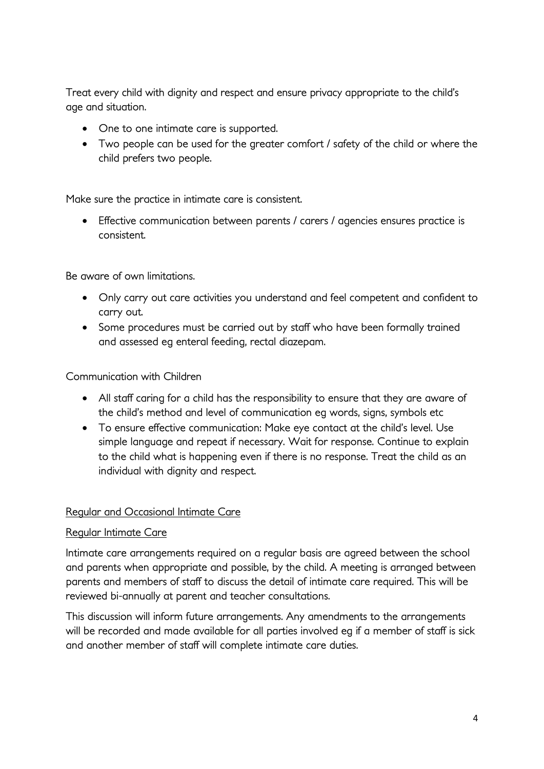Treat every child with dignity and respect and ensure privacy appropriate to the child's age and situation.

- One to one intimate care is supported.
- Two people can be used for the greater comfort / safety of the child or where the child prefers two people.

Make sure the practice in intimate care is consistent.

 Effective communication between parents / carers / agencies ensures practice is consistent.

Be aware of own limitations.

- Only carry out care activities you understand and feel competent and confident to carry out.
- Some procedures must be carried out by staff who have been formally trained and assessed eg enteral feeding, rectal diazepam.

# Communication with Children

- All staff caring for a child has the responsibility to ensure that they are aware of the child's method and level of communication eg words, signs, symbols etc
- To ensure effective communication: Make eye contact at the child's level. Use simple language and repeat if necessary. Wait for response. Continue to explain to the child what is happening even if there is no response. Treat the child as an individual with dignity and respect.

## Regular and Occasional Intimate Care

## Regular Intimate Care

Intimate care arrangements required on a regular basis are agreed between the school and parents when appropriate and possible, by the child. A meeting is arranged between parents and members of staff to discuss the detail of intimate care required. This will be reviewed bi-annually at parent and teacher consultations.

This discussion will inform future arrangements. Any amendments to the arrangements will be recorded and made available for all parties involved eg if a member of staff is sick and another member of staff will complete intimate care duties.